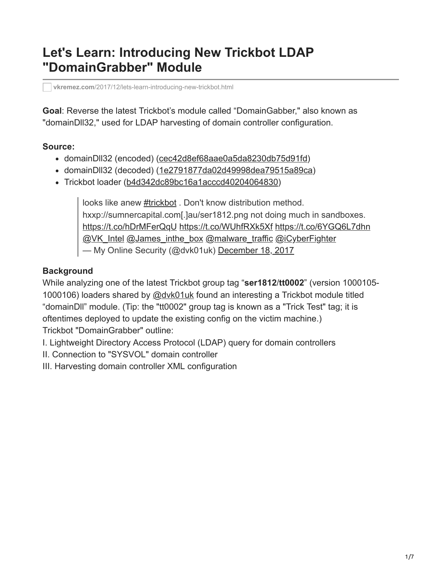# **Let's Learn: Introducing New Trickbot LDAP "DomainGrabber" Module**

**vkremez.com**[/2017/12/lets-learn-introducing-new-trickbot.html](http://www.vkremez.com/2017/12/lets-learn-introducing-new-trickbot.html)

**Goal**: Reverse the latest Trickbot's module called "DomainGabber," also known as "domainDll32," used for LDAP harvesting of domain controller configuration.

### **Source:**

- domainDll32 (encoded) [\(cec42d8ef68aae0a5da8230db75d91fd\)](https://www.virustotal.com/#/file/0e2d00a8b926f6a37c56f8f959b7f4b84d259b4bd2eaa49bc7af00c286a2704d/details)
- domainDll32 (decoded) [\(1e2791877da02d49998dea79515a89ca\)](https://www.virustotal.com/#/file/3e3d82ea4764b117b71119e7c2eecf46b7c2126617eafccdfc6e96e13da973b1/details)
- Trickbot loader ([b4d342dc89bc16a1acccd40204064830\)](https://www.virustotal.com/en/file/91199f80c3aaeea9e0740baba70cf2eb9702394f41f9bb0611715f33d6576bc5/analysis/1513627309/)

looks like anew [#trickbot](https://twitter.com/hashtag/trickbot?src=hash&ref_src=twsrc%5Etfw) . Don't know distribution method. hxxp://sumnercapital.com[.]au/ser1812.png not doing much in sandboxes. <https://t.co/hDrMFerQqU> <https://t.co/WUhfRXk5Xf> <https://t.co/6YGQ6L7dhn> [@VK\\_Intel](https://twitter.com/VK_Intel?ref_src=twsrc%5Etfw) [@James\\_inthe\\_box](https://twitter.com/James_inthe_box?ref_src=twsrc%5Etfw) [@malware\\_traffic](https://twitter.com/malware_traffic?ref_src=twsrc%5Etfw) [@iCyberFighter](https://twitter.com/iCyberFighter?ref_src=twsrc%5Etfw) — My Online Security (@dvk01uk) [December 18, 2017](https://twitter.com/dvk01uk/status/942852069127589888?ref_src=twsrc%5Etfw)

# **Background**

While analyzing one of the latest Trickbot group tag "**ser1812**/**tt0002**" (version 1000105- 1000106) loaders shared by [@dvk01uk](https://twitter.com/dvk01uk) found an interesting a Trickbot module titled "domainDll" module. (Tip: the "tt0002" group tag is known as a "Trick Test" tag; it is oftentimes deployed to update the existing config on the victim machine.) Trickbot "DomainGrabber" outline:

I. Lightweight Directory Access Protocol (LDAP) query for domain controllers

II. Connection to "SYSVOL" domain controller

III. Harvesting domain controller XML configuration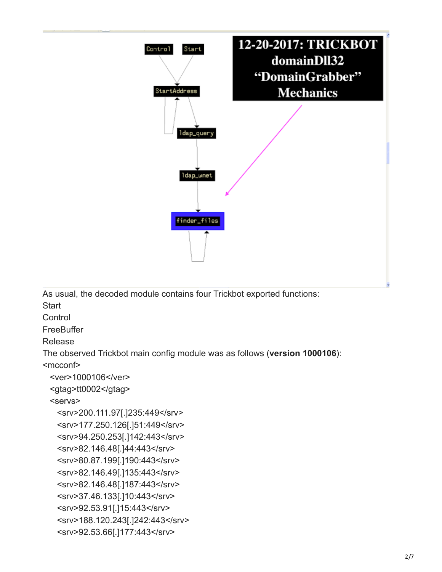

As usual, the decoded module contains four Trickbot exported functions:

**Start** 

**Control** 

**FreeBuffer** 

Release

The observed Trickbot main config module was as follows (**version 1000106**):

<mcconf>

```
 <ver>1000106</ver>
```

```
 <gtag>tt0002</gtag>
```
<servs>

 <srv>200.111.97[.]235:449</srv> <srv>177.250.126[.]51:449</srv> <srv>94.250.253[.]142:443</srv> <srv>82.146.48[.]44:443</srv> <srv>80.87.199[.]190:443</srv> <srv>82.146.49[.]135:443</srv> <srv>82.146.48[.]187:443</srv> <srv>37.46.133[.]10:443</srv> <srv>92.53.91[.]15:443</srv> <srv>188.120.243[.]242:443</srv> <srv>92.53.66[.]177:443</srv>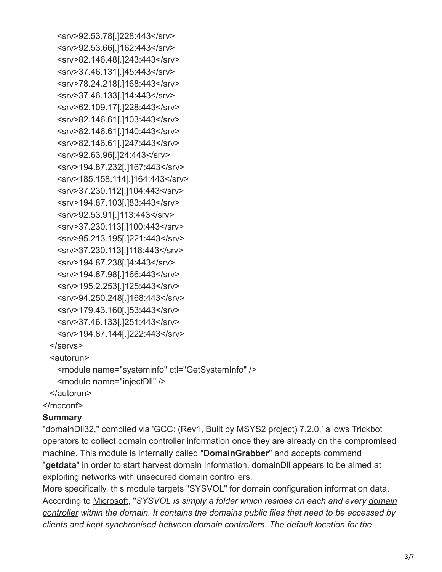<srv>92.53.78[.]228:443</srv> <srv>92.53.66[.]162:443</srv> <srv>82.146.48[.]243:443</srv> <srv>37.46.131[.]45:443</srv> <srv>78.24.218[.]168:443</srv> <srv>37.46.133[.]14:443</srv> <srv>62.109.17[.]228:443</srv> <srv>82.146.61[.]103:443</srv> <srv>82.146.61[.]140:443</srv> <srv>82.146.61[.]247:443</srv> <srv>92.63.96[.]24:443</srv> <srv>194.87.232[.]167:443</srv> <srv>185.158.114[.]164:443</srv> <srv>37.230.112[.]104:443</srv> <srv>194.87.103[.]83:443</srv> <srv>92.53.91[.]113:443</srv> <srv>37.230.113[.]100:443</srv> <srv>95.213.195[.]221:443</srv> <srv>37.230.113[.]118:443</srv> <srv>194.87.238[.]4:443</srv> <srv>194.87.98[.]166:443</srv> <srv>195.2.253[.]125:443</srv> <srv>94.250.248[.]168:443</srv> <srv>179.43.160[.]53:443</srv> <srv>37.46.133[.]251:443</srv> <srv>194.87.144[.]222:443</srv> </servs>

<autorun>

```
 <module name="systeminfo" ctl="GetSystemInfo" />
```
<module name="injectDll" />

</autorun>

</mcconf>

#### **Summary**

"domainDll32," compiled via 'GCC: (Rev1, Built by MSYS2 project) 7.2.0,' allows Trickbot operators to collect domain controller information once they are already on the compromised machine. This module is internally called "**DomainGrabber**" and accepts command "**getdata**" in order to start harvest domain information. domainDll appears to be aimed at exploiting networks with unsecured domain controllers.

More specifically, this module targets "SYSVOL" for domain configuration information data. According to [Microsoft,](https://social.technet.microsoft.com/wiki/contents/articles/24160.active-directory-back-to-basics-sysvol.aspx) "*SYSVOL is simply a folder which resides on each and every domain [controller within the domain. It contains the domains public files that need to be accessed by](http://social.technet.microsoft.com/wiki/contents/articles/16757.active-directory-glossary.aspx#Domain_Controller) clients and kept synchronised between domain controllers. The default location for the*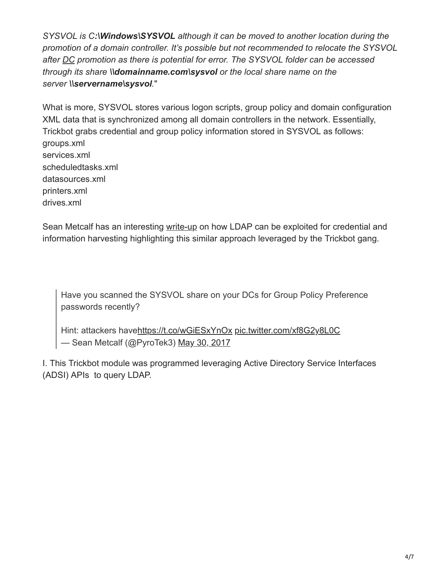*SYSVOL is C:\Windows\SYSVOL although it can be moved to another location during the promotion of a domain controller. It's possible but not recommended to relocate the SYSVOL after [DC](http://social.technet.microsoft.com/wiki/contents/articles/16757.active-directory-glossary.aspx#DC) promotion as there is potential for error. The SYSVOL folder can be accessed through its share \\domainname.com\sysvol or the local share name on the server \\servername\sysvol.*"

What is more, SYSVOL stores various logon scripts, group policy and domain configuration XML data that is synchronized among all domain controllers in the network. Essentially, Trickbot grabs credential and group policy information stored in SYSVOL as follows: groups.xml services.xml scheduledtasks.xml datasources.xml printers.xml drives.xml

Sean Metcalf has an interesting [write-up](https://adsecurity.org/?p=2362) on how LDAP can be exploited for credential and information harvesting highlighting this similar approach leveraged by the Trickbot gang.

Have you scanned the SYSVOL share on your DCs for Group Policy Preference passwords recently?

Hint: attackers hav[ehttps://t.co/wGiESxYnOx](https://t.co/wGiESxYnOx) [pic.twitter.com/xf8G2y8L0C](https://t.co/xf8G2y8L0C) — Sean Metcalf (@PyroTek3) [May 30, 2017](https://twitter.com/PyroTek3/status/869559165747945472?ref_src=twsrc%5Etfw)

I. This Trickbot module was programmed leveraging Active Directory Service Interfaces (ADSI) APIs to query LDAP.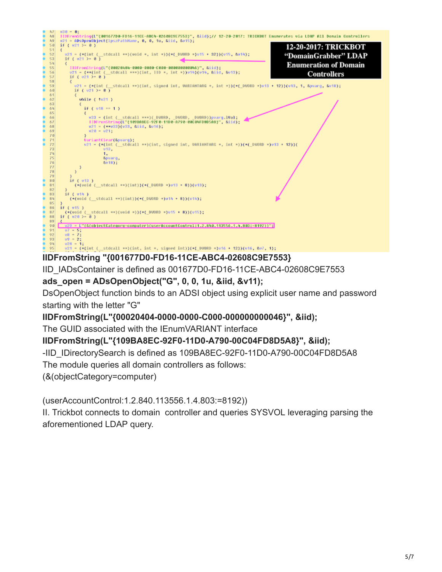

# **IIDFromString "{001677D0-FD16-11CE-ABC4-02608C9E7553}**

IID\_IADsContainer is defined as 001677D0-FD16-11CE-ABC4-02608C9E7553

# **ads\_open = ADsOpenObject("G", 0, 0, 1u, &iid, &v11);**

DsOpenObject function binds to an ADSI object using explicit user name and password starting with the letter "G"

### **IIDFromString(L"{00020404-0000-0000-C000-000000000046}", &iid);**

The GUID associated with the IEnumVARIANT interface

### **IIDFromString(L"{109BA8EC-92F0-11D0-A790-00C04FD8D5A8}", &iid);**

-IID\_IDirectorySearch is defined as 109BA8EC-92F0-11D0-A790-00C04FD8D5A8

The module queries all domain controllers as follows:

(&(objectCategory=computer)

(userAccountControl:1.2.840.113556.1.4.803:=8192))

II. Trickbot connects to domain controller and queries SYSVOL leveraging parsing the aforementioned LDAP query.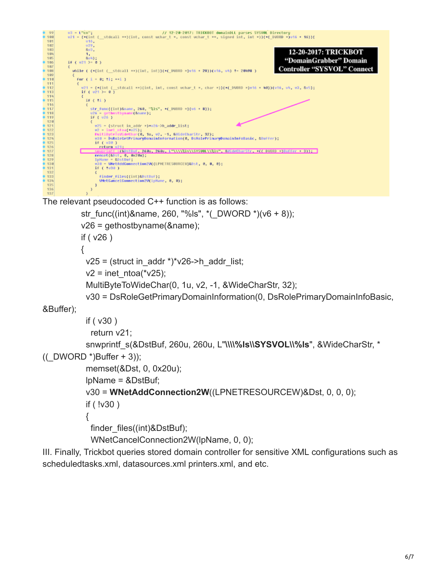

The relevant pseudocoded C++ function is as follows:

```
str_func((int)&name, 260, "%ls", *(_DWORD *)(v6 + 8));
v26 = gethostbyname(&name);
if ( v26 )
{
v25 = (struct in addr *)*v26->h_addr_list;
v2 = inet ntoa(*v25);
 MultiByteToWideChar(0, 1u, v2, -1, &WideCharStr, 32);
 v30 = DsRoleGetPrimaryDomainInformation(0, DsRolePrimaryDomainInfoBasic,
```
&Buffer);

```
 if ( v30 )
```

```
 return v21;
snwprintf_s(&DstBuf, 260u, 260u, L"\\\\%ls\\SYSVOL\\%ls", &WideCharStr, *
```
 $((DWORD^*)\text{Buffer } + 3));$ 

```
 memset(&Dst, 0, 0x20u);
```

```
 lpName = &DstBuf;
```
v30 = **WNetAddConnection2W**((LPNETRESOURCEW)&Dst, 0, 0, 0);

if ( !v30 )

 $\{$ 

finder\_files((int)&DstBuf);

WNetCancelConnection2W(lpName, 0, 0);

III. Finally, Trickbot queries stored domain controller for sensitive XML configurations such as scheduledtasks.xml, datasources.xml printers.xml, and etc.